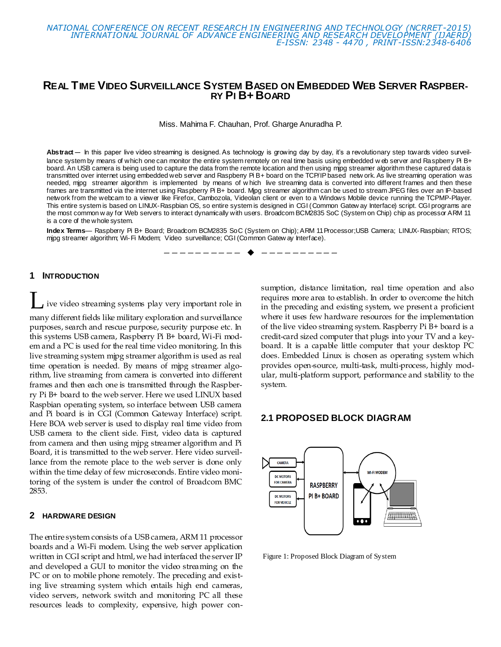## **REAL TIME VIDEO SURVEILLANCE SYSTEM BASED ON EMBEDDED WEB SERVER RASPBER-RY PI B+ BOARD**

Miss. Mahima F. Chauhan, Prof. Gharge Anuradha P.

**Abstract**— In this paper live video streaming is designed. As technology is growing day by day, it's a revolutionary step towards video surveillance system by means of which one can monitor the entire system remotely on real time basis using embedded w eb server and Raspberry Pi B+ board. An USB camera is being used to capture the data from the remote location and then using mjpg streamer algorithm these captured data is transmitted over internet using embedded web server and Raspberry Pi B+ board on the TCP/IP based netw ork. As live streaming operation was needed, mjpg streamer algorithm is implemented by means of w hich live streaming data is converted into different frames and then these frames are transmitted via the internet using Raspberry Pi B+ board. Mjpg streamer algorithm can be used to stream JPEG files over an IP-based network from the webcam to a viewer like Firefox, Cambozola, Videolan client or even to a Windows Mobile device running the TCPMP-Player. This entire system is based on LINUX-Raspbian OS, so entire system is designed in CGI (Common Gatew ay Interface) script. CGI programs are the most common w ay for Web servers to interact dynamically with users. Broadcom BCM2835 SoC (System on Chip) chip as processor ARM 11 is a core of the whole system.

**Index Terms**— Raspberry Pi B+ Board; Broadcom BCM2835 SoC (System on Chip); ARM 11Processor;USB Camera; LINUX-Raspbian; RTOS; mjpg streamer algorithm; Wi-Fi Modem; Video surveillance; CGI (Common Gatew ay Interface).

————————— ♦ -----------

#### **1 INTRODUCTION**

ive video streaming systems play very important role in many different fields like military exploration and surveillance purposes, search and rescue purpose, security purpose etc. In this systems USB camera, Raspberry Pi B+ board, Wi-Fi modem and a PC is used for the real time video monitoring. In this live streaming system mjpg streamer algorithm is used as real time operation is needed. By means of mjpg streamer algorithm, live streaming from camera is converted into different frames and then each one is transmitted through the Raspberry Pi B+ board to the web server. Here we used LINUX based Raspbian operating system, so interface between USB camera and Pi board is in CGI (Common Gateway Interface) script. Here BOA web server is used to display real time video from USB camera to the client side. First, video data is captured from camera and then using mjpg streamer algorithm and Pi Board, it is transmitted to the web server. Here video surveillance from the remote place to the web server is done only within the time delay of few microseconds. Entire video monitoring of the system is under the control of Broadcom BMC 2853.

#### **2 HARDWARE DESIGN**

The entire system consists of a USB camera, ARM 11 processor boards and a Wi-Fi modem. Using the web server application written in CGI script and html, we had interfaced the server IP and developed a GUI to monitor the video streaming on the PC or on to mobile phone remotely. The preceding and existing live streaming system which entails high end cameras, video servers, network switch and monitoring PC all these resources leads to complexity, expensive, high power consumption, distance limitation, real time operation and also requires more area to establish. In order to overcome the hitch in the preceding and existing system, we present a proficient where it uses few hardware resources for the implementation of the live video streaming system. Raspberry Pi B+ board is a credit-card sized computer that plugs into your TV and a keyboard. It is a capable little computer that your desktop PC does. Embedded Linux is chosen as operating system which provides open-source, multi-task, multi-process, highly modular, multi-platform support, performance and stability to the system.

#### **2.1 PROPOSED BLOCK DIAGRAM**



Figure 1: Proposed Block Diagram of System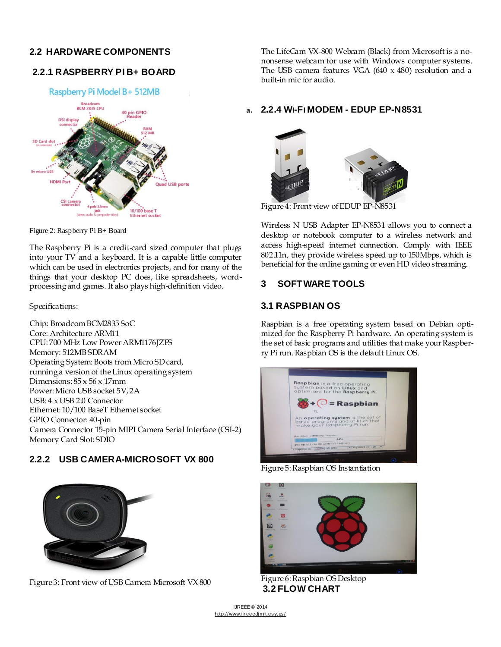# **2.2 HARDWARE COMPONENTS**

# **2.2.1 RASPBERRY PI B+ BOARD**



Figure 2: Raspberry Pi B+ Board

The Raspberry Pi is a credit-card sized computer that plugs into your TV and a keyboard. It is a capable little computer which can be used in electronics projects, and for many of the things that your desktop PC does, like spreadsheets, wordprocessing and games. It also plays high-definition video.

Specifications:

Chip: Broadcom BCM2835 SoC Core: Architecture ARM11 CPU: 700 MHz Low Power ARM1176JZFS Memory: 512MB SDRAM Operating System: Boots from Micro SD card, running a version of the Linux operating system Dimensions:  $85 \times 56 \times 17$ mm Power: Micro USB socket 5V, 2A USB: 4 x USB 2.0 Connector Ethernet: 10/100 BaseT Ethernet socket GPIO Connector: 40-pin Camera Connector 15-pin MIPI Camera Serial Interface (CSI-2) Memory Card Slot: SDIO

# **2.2.2 USB CAMERA-MICROSOFT VX 800**



Figure 3: Front view of USB Camera Microsoft VX 800

The LifeCam VX-800 Webcam (Black) from Microsoft is a nononsense webcam for use with Windows computer systems. The USB camera features VGA (640 x 480) resolution and a built-in mic for audio.

# **a. 2.2.4 WI-FI MODEM - EDUP EP-N8531**



Figure 4: Front view of EDUP EP-N8531

Wireless N USB Adapter EP-N8531 allows you to connect a desktop or notebook computer to a wireless network and access high-speed internet connection. Comply with IEEE 802.11n, they provide wireless speed up to 150Mbps, which is beneficial for the online gaming or even HD video streaming.

# **3 SOFTWARE TOOLS**

# **3.1 RASPBIAN OS**

Raspbian is a free operating system based on Debian optimized for the Raspberry Pi hardware. An operating system is the set of basic programs and utilities that make your Raspberry Pi run. Raspbian OS is the default Linux OS.



Figure 5: Raspbian OS Instantiation



Figure 6: Raspbian OS Desktop **3.2 FLOW CHART**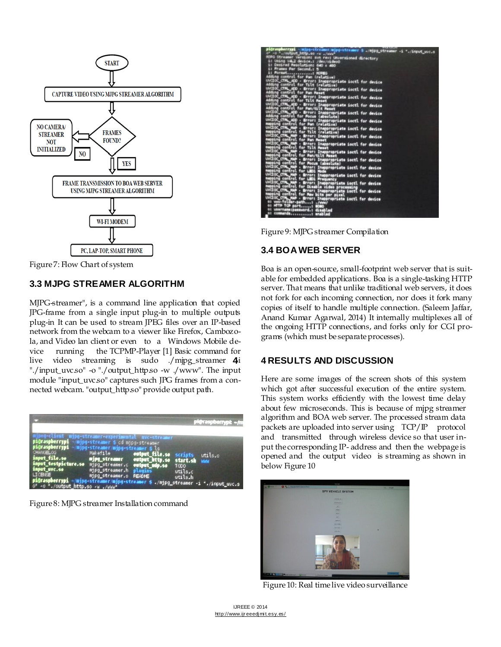

Figure 7: Flow Chart of system

## **3.3 MJPG STREAMER ALGORITHM**

MJPG-streamer", is a command line application that copied JPG-frame from a single input plug-in to multiple outputs plug-in It can be used to stream JPEG files over an IP-based network from the webcam to a viewer like Firefox, Cambozola, and Video lan client or even to a Windows Mobile device running the TCPMP-Player [1] Basic command for live video streaming is sudo ./mjpg\_streamer  $4i$ "./input\_uvc.so" -o "./output\_http.so -w ./www". The input module "input\_uvc.so" captures such JPG frames from a connected webcam. "output\_http.so" provide output path.

|                                                                                                                                                                                                                |                                                                                                                                                                                                                                                                                   |                            | pi@raspberrypk ~/m |
|----------------------------------------------------------------------------------------------------------------------------------------------------------------------------------------------------------------|-----------------------------------------------------------------------------------------------------------------------------------------------------------------------------------------------------------------------------------------------------------------------------------|----------------------------|--------------------|
| raspberrypi - mipg-streamer \$ cd mjpg-streamer<br>raspberrypi – ming-streamer/ming-streamer \$ ls<br>483BLOG<br>put_file.so<br>mput testpicture.so mjpg_streamer.c output_udp.so<br>put_uvc.so<br>raspberrypi | mypg-streamer-experimental myc-streamer<br>Makefile<br>Makefile <b>output_file.se</b> scripts utils.o<br>m <b>jpg_streamer</b> output_http.se start.sh www<br>mipa_streamer.h plugins<br>mipo_streamer.o README<br>pg-streamer/mjpg-streamer \$ ./mjpg_streamer -i "./input_uvc.s | TODO<br>utils.c<br>utils.h |                    |

Figure 8: MJPG streamer Installation command

| -injpg-streamer.mjpg-streamer 5 ./mjpg_streamer -1 "./input_uvc.s                                                                                                                                                  |
|--------------------------------------------------------------------------------------------------------------------------------------------------------------------------------------------------------------------|
| of an "  nutget http, so aw  wer                                                                                                                                                                                   |
| HOPO Streamer Versions sun rev; Unversioned directory                                                                                                                                                              |
| it thing v4.2 device.1 /dev/video0                                                                                                                                                                                 |
| it Desired Resolutions 640 x 480<br>it Frames Per Second.r 5                                                                                                                                                       |
| <b>Pormaturegresserved MPEG</b>                                                                                                                                                                                    |
| Adding control for Pan (relative)                                                                                                                                                                                  |
| UVISOC CTPL ADD - Errors Inappropriate inctl for device                                                                                                                                                            |
| adding control for Tilt (relative)                                                                                                                                                                                 |
| UNCIOC_CTPL_ADD - Error: Inappropriate isctl for device<br>Adding control for Pan Paset                                                                                                                            |
|                                                                                                                                                                                                                    |
| <b>UVETOC_CTRL</b><br>ugo - Brror: Inappropriate inctl for device                                                                                                                                                  |
| Adding control for Tilt Meset<br>UVCEOC_CTPL_ACO - Brrors Inappropriate inctl for device                                                                                                                           |
| adding control for Pan/tilt Reset                                                                                                                                                                                  |
| UNCEOF CTRL_ADD - Error: Inappropriate socti for device                                                                                                                                                            |
| Adding control for Pocus (absolute)                                                                                                                                                                                |
| UVCIOC_CTPL_ADD - Errors Inappropriate ioctl for device                                                                                                                                                            |
| mapping control for Pan (relative)                                                                                                                                                                                 |
| UNCIDE CTML MAD - Brror: Imagoropriate inctl for device<br>mapping control for Tilt (relative)                                                                                                                     |
| UNCEOC CTPL MAP - Mrror: Inappropriate Loctl for device                                                                                                                                                            |
| mapping control for Pan Meset                                                                                                                                                                                      |
| MAP - Error: Inappropriate isctl for device<br><b>UVED CTRL</b>                                                                                                                                                    |
| mapping control for Tilt Reset                                                                                                                                                                                     |
|                                                                                                                                                                                                                    |
|                                                                                                                                                                                                                    |
| undoor charge of Broad Inappropriate isett for device<br>undoor contrast for Papertille Regel<br>wideor contrast of Provi Inappropriate isett for device<br>wideor contrast - Broad Inappropriate isett for device |
|                                                                                                                                                                                                                    |
|                                                                                                                                                                                                                    |
| sapping control for LED1 Mode<br>UNCIOC_CTM_MAP - Error: Inappropriate ioctl for device<br>mapping control for LED1 Prequency                                                                                      |
|                                                                                                                                                                                                                    |
| uvilor cra was . Breer: Inaperopriate inctl for device<br>mapping control for Disable video processing                                                                                                             |
| uvidor cra wap - Brrer: Inasprepriate locti for device                                                                                                                                                             |
| mapping control for Maw bits per pixel                                                                                                                                                                             |
|                                                                                                                                                                                                                    |
| uvilor city, was - Brrer: Inappropriate iosti for device<br>  s: www.folder-path! ./www/                                                                                                                           |
| or HITP TOP port                                                                                                                                                                                                   |
| or neercase peasuord, r disapled<br>at commandst mnabled                                                                                                                                                           |
|                                                                                                                                                                                                                    |

Figure 9: MJPG streamer Compilation

# **3.4 BOAWEB SERVER**

Boa is an open-source, small-footprint web server that is suitable for embedded applications. Boa is a single-tasking HTTP server. That means that unlike traditional web servers, it does not fork for each incoming connection, nor does it fork many copies of itself to handle multiple connection. (Saleem Jaffar, Anand Kumar Agarwal, 2014) It internally multiplexes all of the ongoing HTTP connections, and forks only for CGI programs (which must be separate processes).

### **4 4 RESULTS AND DISCUSSION**

Here are some images of the screen shots of this system which got after successful execution of the entire system. This system works efficiently with the lowest time delay about few microseconds. This is because of mjpg streamer algorithm and BOA web server. The processed stream data packets are uploaded into server using  $TCP/IP$  protocol and transmitted through wireless device so that user input the corresponding IP- address and then the webpage is opened and the output video is streaming as shown in below Figure 10



Figure 10: Real time live video surveillance